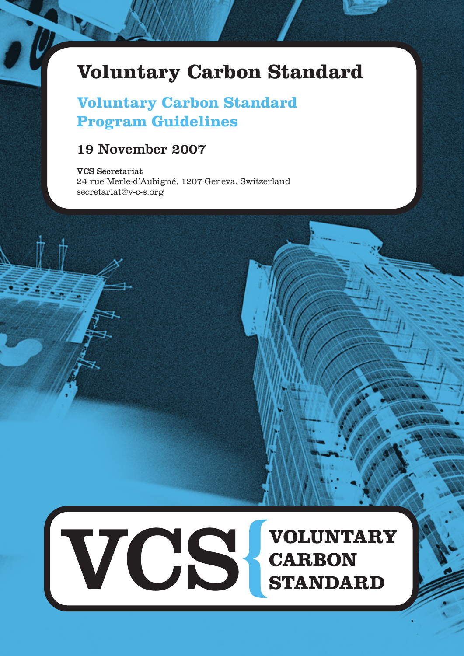# **Voluntary Carbon Standard**

# **Voluntary Carbon Standard Program Guidelines**

## 19 November 2007

#### VCS Secretariat

24 rue Merle-d'Aubigné, 1207 Geneva, Switzerland secretariat@v-c-s.org

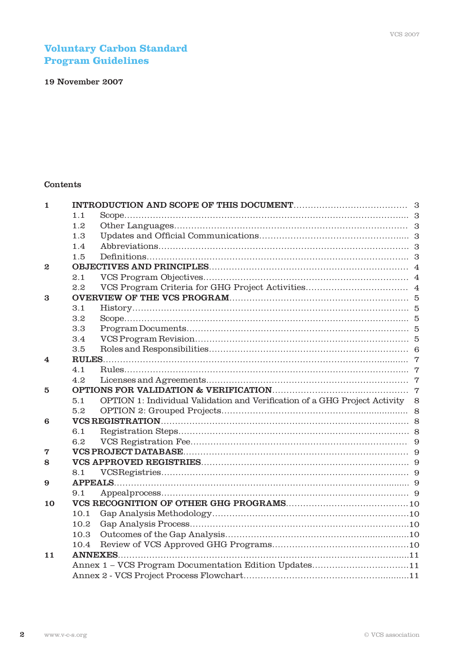## **Voluntary Carbon Standard Program Guidelines**

## 19 November 2007

## Contents

| 1                |      |                                                                              |  |
|------------------|------|------------------------------------------------------------------------------|--|
|                  | 1.1  |                                                                              |  |
|                  | 1.2  |                                                                              |  |
|                  | 1.3  |                                                                              |  |
|                  | 1.4  |                                                                              |  |
|                  | 1.5  |                                                                              |  |
| $\boldsymbol{2}$ |      |                                                                              |  |
|                  | 2.1  |                                                                              |  |
|                  | 2.2  |                                                                              |  |
| 3                |      |                                                                              |  |
|                  | 3.1  |                                                                              |  |
|                  | 3.2  |                                                                              |  |
|                  | 3.3  |                                                                              |  |
|                  | 3.4  |                                                                              |  |
|                  | 3.5  |                                                                              |  |
| 4                |      |                                                                              |  |
|                  | 4.1  |                                                                              |  |
|                  | 4.2  |                                                                              |  |
| 5                |      |                                                                              |  |
|                  | 5.1  | OPTION 1: Individual Validation and Verification of a GHG Project Activity 8 |  |
|                  | 5.2  |                                                                              |  |
| 6                |      |                                                                              |  |
|                  | 6.1  |                                                                              |  |
|                  | 6.2  |                                                                              |  |
| 7                |      |                                                                              |  |
| 8                |      |                                                                              |  |
|                  | 8.1  |                                                                              |  |
| 9                |      |                                                                              |  |
|                  | 9.1  |                                                                              |  |
| 10               |      |                                                                              |  |
|                  | 10.1 |                                                                              |  |
|                  | 10.2 |                                                                              |  |
|                  | 10.3 |                                                                              |  |
|                  | 10.4 |                                                                              |  |
| 11               |      |                                                                              |  |
|                  |      | Annex 1 - VCS Program Documentation Edition Updates11                        |  |
|                  |      |                                                                              |  |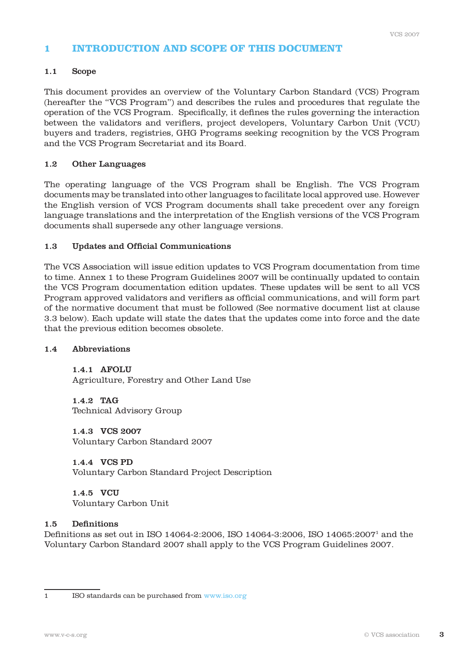## **1 INTRODUCTION AND SCOPE OF THIS DOCUMENT**

#### 1.1 Scope

This document provides an overview of the Voluntary Carbon Standard (VCS) Program (hereafter the "VCS Program") and describes the rules and procedures that regulate the operation of the VCS Program. Specifically, it defines the rules governing the interaction between the validators and verifiers, project developers, Voluntary Carbon Unit (VCU) buyers and traders, registries, GHG Programs seeking recognition by the VCS Program and the VCS Program Secretariat and its Board.

#### 1.2 Other Languages

The operating language of the VCS Program shall be English. The VCS Program documents may be translated into other languages to facilitate local approved use. However the English version of VCS Program documents shall take precedent over any foreign language translations and the interpretation of the English versions of the VCS Program documents shall supersede any other language versions.

#### 1.3 Updates and Official Communications

The VCS Association will issue edition updates to VCS Program documentation from time to time. Annex 1 to these Program Guidelines 2007 will be continually updated to contain the VCS Program documentation edition updates. These updates will be sent to all VCS Program approved validators and verifiers as official communications, and will form part of the normative document that must be followed (See normative document list at clause 3.3 below). Each update will state the dates that the updates come into force and the date that the previous edition becomes obsolete.

#### 1.4 Abbreviations

1.4.1 AFOLU Agriculture, Forestry and Other Land Use

1.4.2 TAG Technical Advisory Group

1.4.3 VCS 2007 Voluntary Carbon Standard 2007

1.4.4 VCS PD Voluntary Carbon Standard Project Description

1.4.5 VCU Voluntary Carbon Unit

#### 1.5 Definitions

Definitions as set out in ISO 14064-2:2006, ISO 14064-3:2006, ISO 14065:20071 and the Voluntary Carbon Standard 2007 shall apply to the VCS Program Guidelines 2007.

<sup>1</sup> ISO standards can be purchased from www.iso.org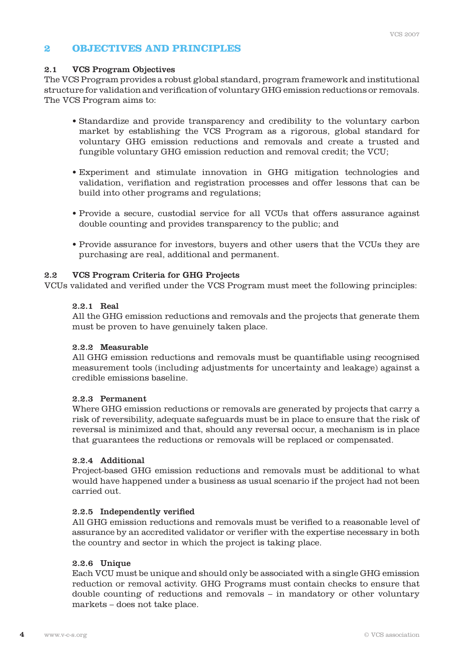## **2 OBJECTIVES AND PRINCIPLES**

## 2.1 VCS Program Objectives

The VCS Program provides a robust global standard, program framework and institutional structure for validation and verification of voluntary GHG emission reductions or removals. The VCS Program aims to:

- Standardize and provide transparency and credibility to the voluntary carbon market by establishing the VCS Program as a rigorous, global standard for voluntary GHG emission reductions and removals and create a trusted and fungible voluntary GHG emission reduction and removal credit; the VCU;
- Experiment and stimulate innovation in GHG mitigation technologies and validation, verifiation and registration processes and offer lessons that can be build into other programs and regulations;
- Provide a secure, custodial service for all VCUs that offers assurance against double counting and provides transparency to the public; and
- Provide assurance for investors, buyers and other users that the VCUs they are purchasing are real, additional and permanent.

## 2.2 VCS Program Criteria for GHG Projects

VCUs validated and verified under the VCS Program must meet the following principles:

### 2.2.1 Real

 All the GHG emission reductions and removals and the projects that generate them must be proven to have genuinely taken place.

## 2.2.2 Measurable

 All GHG emission reductions and removals must be quantifiable using recognised measurement tools (including adjustments for uncertainty and leakage) against a credible emissions baseline.

#### 2.2.3 Permanent

 Where GHG emission reductions or removals are generated by projects that carry a risk of reversibility, adequate safeguards must be in place to ensure that the risk of reversal is minimized and that, should any reversal occur, a mechanism is in place that guarantees the reductions or removals will be replaced or compensated.

#### 2.2.4 Additional

 Project-based GHG emission reductions and removals must be additional to what would have happened under a business as usual scenario if the project had not been carried out.

## 2.2.5 Independently verified

 All GHG emission reductions and removals must be verified to a reasonable level of assurance by an accredited validator or verifier with the expertise necessary in both the country and sector in which the project is taking place.

## 2.2.6 Unique

 Each VCU must be unique and should only be associated with a single GHG emission reduction or removal activity. GHG Programs must contain checks to ensure that double counting of reductions and removals – in mandatory or other voluntary markets – does not take place.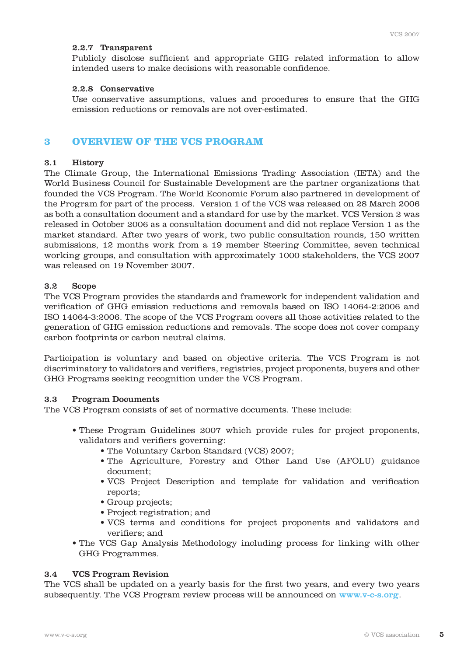#### 2.2.7 Transparent

 Publicly disclose sufficient and appropriate GHG related information to allow intended users to make decisions with reasonable confidence.

#### 2.2.8 Conservative

 Use conservative assumptions, values and procedures to ensure that the GHG emission reductions or removals are not over-estimated.

## **3 OVERVIEW OF THE VCS PROGRAM**

#### 3.1 History

The Climate Group, the International Emissions Trading Association (IETA) and the World Business Council for Sustainable Development are the partner organizations that founded the VCS Program. The World Economic Forum also partnered in development of the Program for part of the process. Version 1 of the VCS was released on 28 March 2006 as both a consultation document and a standard for use by the market. VCS Version 2 was released in October 2006 as a consultation document and did not replace Version 1 as the market standard. After two years of work, two public consultation rounds, 150 written submissions, 12 months work from a 19 member Steering Committee, seven technical working groups, and consultation with approximately 1000 stakeholders, the VCS 2007 was released on 19 November 2007.

#### 3.2 Scope

The VCS Program provides the standards and framework for independent validation and verification of GHG emission reductions and removals based on ISO 14064-2:2006 and ISO 14064-3:2006. The scope of the VCS Program covers all those activities related to the generation of GHG emission reductions and removals. The scope does not cover company carbon footprints or carbon neutral claims.

Participation is voluntary and based on objective criteria. The VCS Program is not discriminatory to validators and verifiers, registries, project proponents, buyers and other GHG Programs seeking recognition under the VCS Program.

#### 3.3 Program Documents

The VCS Program consists of set of normative documents. These include:

- These Program Guidelines 2007 which provide rules for project proponents, validators and verifiers governing:
	- The Voluntary Carbon Standard (VCS) 2007;
	- The Agriculture, Forestry and Other Land Use (AFOLU) guidance document;
	- VCS Project Description and template for validation and verification reports;
	- Group projects;
	- Project registration; and
	- VCS terms and conditions for project proponents and validators and verifiers; and
- The VCS Gap Analysis Methodology including process for linking with other GHG Programmes.

#### 3.4 VCS Program Revision

The VCS shall be updated on a yearly basis for the first two years, and every two years subsequently. The VCS Program review process will be announced on www.v-c-s.org.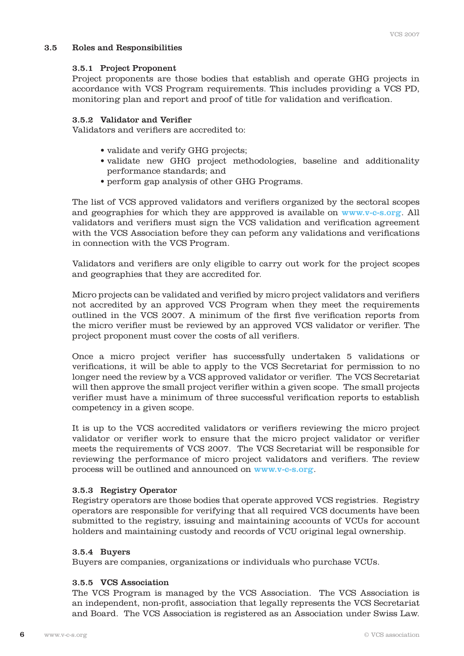#### 3.5 Roles and Responsibilities

#### 3.5.1 Project Proponent

 Project proponents are those bodies that establish and operate GHG projects in accordance with VCS Program requirements. This includes providing a VCS PD, monitoring plan and report and proof of title for validation and verification.

#### 3.5.2 Validator and Verifier

Validators and verifiers are accredited to:

- validate and verify GHG projects;
- validate new GHG project methodologies, baseline and additionality performance standards; and
- perform gap analysis of other GHG Programs.

 The list of VCS approved validators and verifiers organized by the sectoral scopes and geographies for which they are appproved is available on www.v-c-s.org. All validators and verifiers must sign the VCS validation and verification agreement with the VCS Association before they can peform any validations and verifications in connection with the VCS Program.

 Validators and verifiers are only eligible to carry out work for the project scopes and geographies that they are accredited for.

 Micro projects can be validated and verified by micro project validators and verifiers not accredited by an approved VCS Program when they meet the requirements outlined in the VCS 2007. A minimum of the first five verification reports from the micro verifier must be reviewed by an approved VCS validator or verifier. The project proponent must cover the costs of all verifiers.

 Once a micro project verifier has successfully undertaken 5 validations or verifications, it will be able to apply to the VCS Secretariat for permission to no longer need the review by a VCS approved validator or verifier. The VCS Secretariat will then approve the small project verifier within a given scope. The small projects verifier must have a minimum of three successful verification reports to establish competency in a given scope.

 It is up to the VCS accredited validators or verifiers reviewing the micro project validator or verifier work to ensure that the micro project validator or verifier meets the requirements of VCS 2007. The VCS Secretariat will be responsible for reviewing the performance of micro project validators and verifiers. The review process will be outlined and announced on www.v-c-s.org.

## 3.5.3 Registry Operator

 Registry operators are those bodies that operate approved VCS registries. Registry operators are responsible for verifying that all required VCS documents have been submitted to the registry, issuing and maintaining accounts of VCUs for account holders and maintaining custody and records of VCU original legal ownership.

#### 3.5.4 Buyers

Buyers are companies, organizations or individuals who purchase VCUs.

## 3.5.5 VCS Association

 The VCS Program is managed by the VCS Association. The VCS Association is an independent, non-profit, association that legally represents the VCS Secretariat and Board. The VCS Association is registered as an Association under Swiss Law.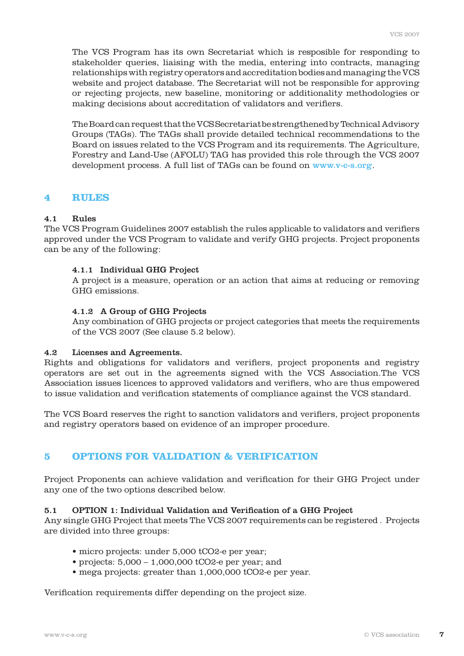The VCS Program has its own Secretariat which is resposible for responding to stakeholder queries, liaising with the media, entering into contracts, managing relationships with registry operators and accreditation bodies and managing the VCS website and project database. The Secretariat will not be responsible for approving or rejecting projects, new baseline, monitoring or additionality methodologies or making decisions about accreditation of validators and verifiers.

 The Board can request that the VCS Secretariat be strengthened by Technical Advisory Groups (TAGs). The TAGs shall provide detailed technical recommendations to the Board on issues related to the VCS Program and its requirements. The Agriculture, Forestry and Land-Use (AFOLU) TAG has provided this role through the VCS 2007 development process. A full list of TAGs can be found on www.v-c-s.org.

#### **4 RULES**

#### 4.1 Rules

The VCS Program Guidelines 2007 establish the rules applicable to validators and verifiers approved under the VCS Program to validate and verify GHG projects. Project proponents can be any of the following:

#### 4.1.1 Individual GHG Project

 A project is a measure, operation or an action that aims at reducing or removing GHG emissions.

#### 4.1.2 A Group of GHG Projects

 Any combination of GHG projects or project categories that meets the requirements of the VCS 2007 (See clause 5.2 below).

#### 4.2 Licenses and Agreements.

Rights and obligations for validators and verifiers, project proponents and registry operators are set out in the agreements signed with the VCS Association.The VCS Association issues licences to approved validators and verifiers, who are thus empowered to issue validation and verification statements of compliance against the VCS standard.

The VCS Board reserves the right to sanction validators and verifiers, project proponents and registry operators based on evidence of an improper procedure.

## **5 OPTIONS FOR VALIDATION & VERIFICATION**

Project Proponents can achieve validation and verification for their GHG Project under any one of the two options described below.

#### 5.1 OPTION 1: Individual Validation and Verification of a GHG Project

Any single GHG Project that meets The VCS 2007 requirements can be registered . Projects are divided into three groups:

- micro projects: under 5,000 tCO2-e per year;
- projects:  $5,000 1,000,000$  tCO2-e per year; and
- mega projects: greater than 1,000,000 tCO2-e per year.

Verification requirements differ depending on the project size.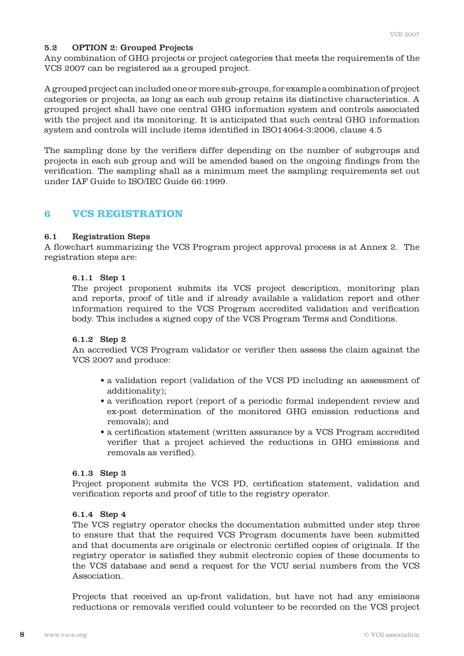### 5.2 OPTION 2: Grouped Projects

Any combination of GHG projects or project categories that meets the requirements of the VCS 2007 can be registered as a grouped project.

A grouped project can included one or more sub-groups, for example a combination of project categories or projects, as long as each sub group retains its distinctive characteristics. A grouped project shall have one central GHG information system and controls associated with the project and its monitoring. It is anticipated that such central GHG information system and controls will include items identified in ISO14064-3:2006, clause 4.5

The sampling done by the verifiers differ depending on the number of subgroups and projects in each sub group and will be amended based on the ongoing findings from the verification. The sampling shall as a minimum meet the sampling requirements set out under IAF Guide to ISO/IEC Guide 66:1999.

## **6 VCS REGISTRATION**

#### 6.1 Registration Steps

A flowchart summarizing the VCS Program project approval process is at Annex 2. The registration steps are:

#### 6.1.1 Step 1

 The project proponent submits its VCS project description, monitoring plan and reports, proof of title and if already available a validation report and other information required to the VCS Program accredited validation and verification body. This includes a signed copy of the VCS Program Terms and Conditions.

#### 6.1.2 Step 2

 An accredied VCS Program validator or verifier then assess the claim against the VCS 2007 and produce:

- a validation report (validation of the VCS PD including an assessment of additionality);
- a verification report (report of a periodic formal independent review and ex-post determination of the monitored GHG emission reductions and removals); and
- a certification statement (written assurance by a VCS Program accredited verifier that a project achieved the reductions in GHG emissions and removals as verified).

#### 6.1.3 Step 3

 Project proponent submits the VCS PD, certification statement, validation and verification reports and proof of title to the registry operator.

#### 6.1.4 Step 4

 The VCS registry operator checks the documentation submitted under step three to ensure that that the required VCS Program documents have been submitted and that documents are originals or electronic certified copies of originals. If the registry operator is satisfied they submit electronic copies of these documents to the VCS database and send a request for the VCU serial numbers from the VCS Association.

 Projects that received an up-front validation, but have not had any emisisons reductions or removals verified could volunteer to be recorded on the VCS project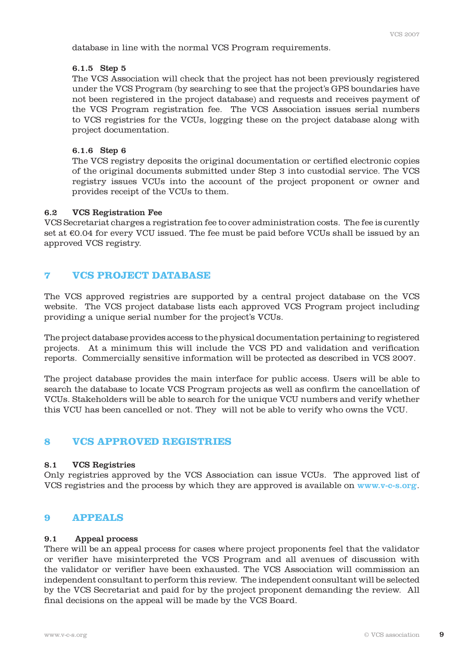database in line with the normal VCS Program requirements.

#### 6.1.5 Step 5

 The VCS Association will check that the project has not been previously registered under the VCS Program (by searching to see that the project's GPS boundaries have not been registered in the project database) and requests and receives payment of the VCS Program registration fee. The VCS Association issues serial numbers to VCS registries for the VCUs, logging these on the project database along with project documentation.

#### 6.1.6 Step 6

 The VCS registry deposits the original documentation or certified electronic copies of the original documents submitted under Step 3 into custodial service. The VCS registry issues VCUs into the account of the project proponent or owner and provides receipt of the VCUs to them.

#### 6.2 VCS Registration Fee

VCS Secretariat charges a registration fee to cover administration costs. The fee is curently set at €0.04 for every VCU issued. The fee must be paid before VCUs shall be issued by an approved VCS registry.

## **7 VCS PROJECT DATABASE**

The VCS approved registries are supported by a central project database on the VCS website. The VCS project database lists each approved VCS Program project including providing a unique serial number for the project's VCUs.

The project database provides access to the physical documentation pertaining to registered projects. At a minimum this will include the VCS PD and validation and verification reports. Commercially sensitive information will be protected as described in VCS 2007.

The project database provides the main interface for public access. Users will be able to search the database to locate VCS Program projects as well as confirm the cancellation of VCUs. Stakeholders will be able to search for the unique VCU numbers and verify whether this VCU has been cancelled or not. They will not be able to verify who owns the VCU.

## **8 VCS APPROVED REGISTRIES**

#### 8.1 VCS Registries

Only registries approved by the VCS Association can issue VCUs. The approved list of VCS registries and the process by which they are approved is available on www.v-c-s.org.

#### **9 APPEALS**

#### 9.1 Appeal process

There will be an appeal process for cases where project proponents feel that the validator or verifier have misinterpreted the VCS Program and all avenues of discussion with the validator or verifier have been exhausted. The VCS Association will commission an independent consultant to perform this review. The independent consultant will be selected by the VCS Secretariat and paid for by the project proponent demanding the review. All final decisions on the appeal will be made by the VCS Board.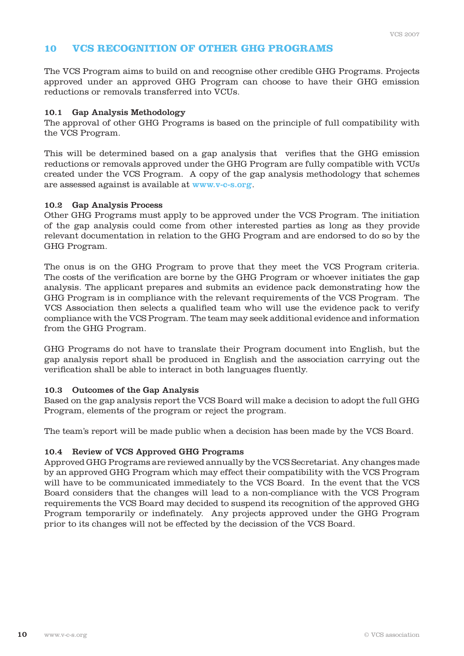## **10 VCS RECOGNITION OF OTHER GHG PROGRAMS**

The VCS Program aims to build on and recognise other credible GHG Programs. Projects approved under an approved GHG Program can choose to have their GHG emission reductions or removals transferred into VCUs.

#### 10.1 Gap Analysis Methodology

The approval of other GHG Programs is based on the principle of full compatibility with the VCS Program.

This will be determined based on a gap analysis that verifies that the GHG emission reductions or removals approved under the GHG Program are fully compatible with VCUs created under the VCS Program. A copy of the gap analysis methodology that schemes are assessed against is available at www.v-c-s.org.

#### 10.2 Gap Analysis Process

Other GHG Programs must apply to be approved under the VCS Program. The initiation of the gap analysis could come from other interested parties as long as they provide relevant documentation in relation to the GHG Program and are endorsed to do so by the GHG Program.

The onus is on the GHG Program to prove that they meet the VCS Program criteria. The costs of the verification are borne by the GHG Program or whoever initiates the gap analysis. The applicant prepares and submits an evidence pack demonstrating how the GHG Program is in compliance with the relevant requirements of the VCS Program. The VCS Association then selects a qualified team who will use the evidence pack to verify compliance with the VCS Program. The team may seek additional evidence and information from the GHG Program.

GHG Programs do not have to translate their Program document into English, but the gap analysis report shall be produced in English and the association carrying out the verification shall be able to interact in both languages fluently.

#### 10.3 Outcomes of the Gap Analysis

Based on the gap analysis report the VCS Board will make a decision to adopt the full GHG Program, elements of the program or reject the program.

The team's report will be made public when a decision has been made by the VCS Board.

#### 10.4 Review of VCS Approved GHG Programs

Approved GHG Programs are reviewed annually by the VCS Secretariat. Any changes made by an approved GHG Program which may effect their compatibility with the VCS Program will have to be communicated immediately to the VCS Board. In the event that the VCS Board considers that the changes will lead to a non-compliance with the VCS Program requirements the VCS Board may decided to suspend its recognition of the approved GHG Program temporarily or indefinately. Any projects approved under the GHG Program prior to its changes will not be effected by the decission of the VCS Board.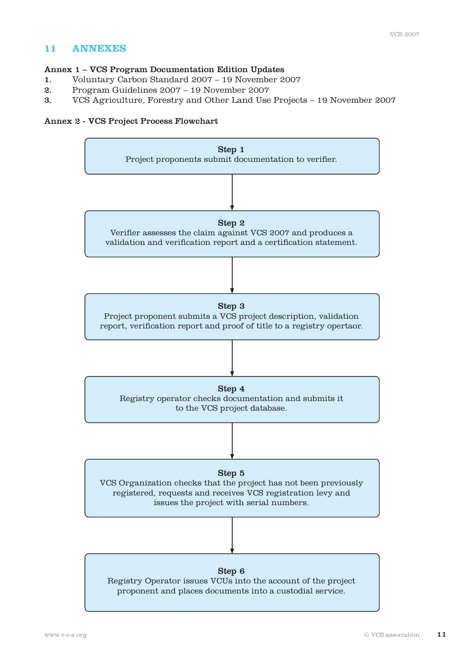## **11 ANNEXES**

#### Annex 1 – VCS Program Documentation Edition Updates

- 1. Voluntary Carbon Standard 2007 19 November 2007
- 2. Program Guidelines 2007 19 November 2007
- 3. VCS Agriculture, Forestry and Other Land Use Projects 19 November 2007

### Annex 2 - VCS Project Process Flowchart